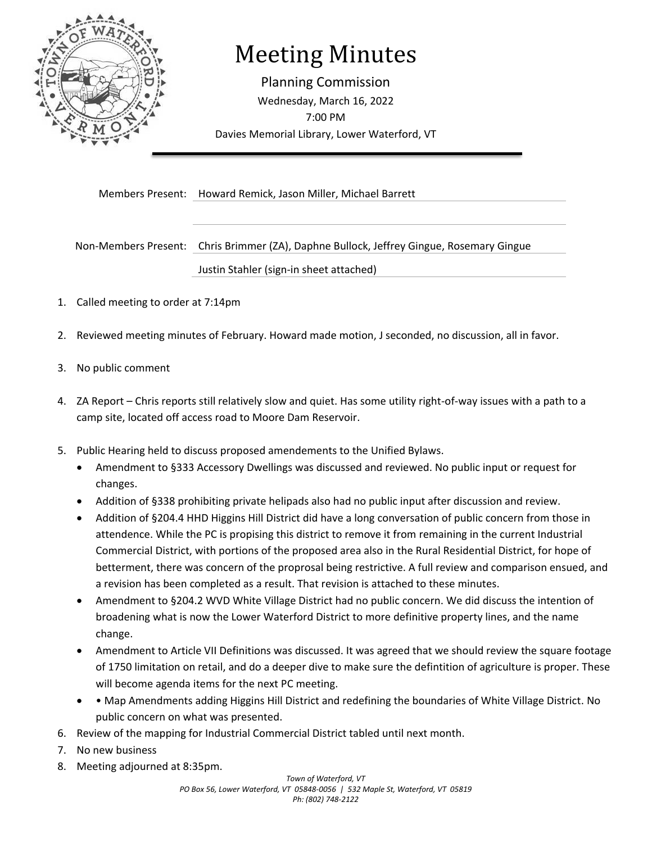

# Meeting Minutes

Planning Commission Wednesday, March 16, 2022 7:00 PM Davies Memorial Library, Lower Waterford, VT

Members Present: Howard Remick, Jason Miller, Michael Barrett

Non-Members Present: Chris Brimmer (ZA), Daphne Bullock, Jeffrey Gingue, Rosemary Gingue

Justin Stahler (sign-in sheet attached)

- 1. Called meeting to order at 7:14pm
- 2. Reviewed meeting minutes of February. Howard made motion, J seconded, no discussion, all in favor.
- 3. No public comment
- 4. ZA Report Chris reports still relatively slow and quiet. Has some utility right-of-way issues with a path to a camp site, located off access road to Moore Dam Reservoir.
- 5. Public Hearing held to discuss proposed amendements to the Unified Bylaws.
	- Amendment to §333 Accessory Dwellings was discussed and reviewed. No public input or request for changes.
	- Addition of §338 prohibiting private helipads also had no public input after discussion and review.
	- Addition of §204.4 HHD Higgins Hill District did have a long conversation of public concern from those in attendence. While the PC is propising this district to remove it from remaining in the current Industrial Commercial District, with portions of the proposed area also in the Rural Residential District, for hope of betterment, there was concern of the proprosal being restrictive. A full review and comparison ensued, and a revision has been completed as a result. That revision is attached to these minutes.
	- Amendment to §204.2 WVD White Village District had no public concern. We did discuss the intention of broadening what is now the Lower Waterford District to more definitive property lines, and the name change.
	- Amendment to Article VII Definitions was discussed. It was agreed that we should review the square footage of 1750 limitation on retail, and do a deeper dive to make sure the defintition of agriculture is proper. These will become agenda items for the next PC meeting.
	- • Map Amendments adding Higgins Hill District and redefining the boundaries of White Village District. No public concern on what was presented.
- 6. Review of the mapping for Industrial Commercial District tabled until next month.
- 7. No new business
- 8. Meeting adjourned at 8:35pm.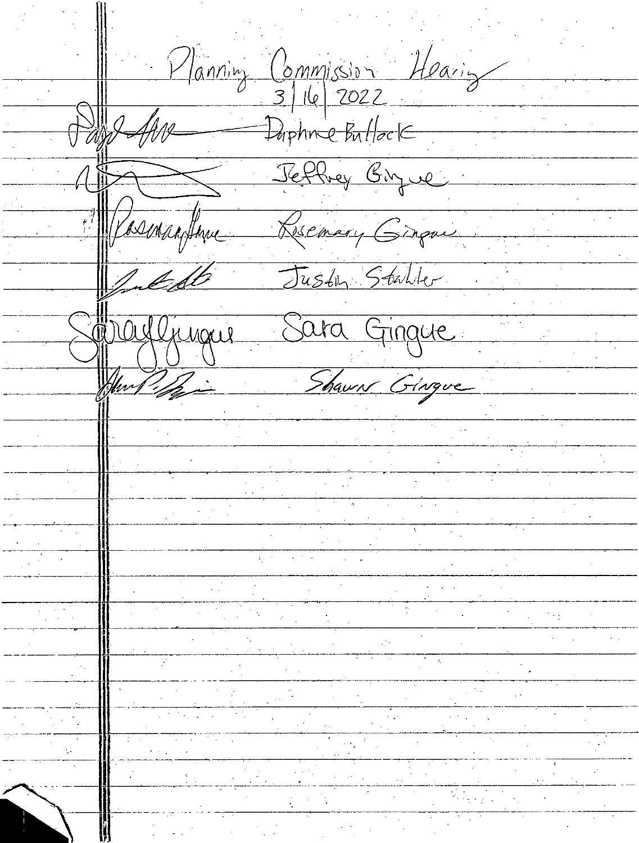Planning Commission Hearing and for Dophne Bullock Jeffrey Bigue Masmanthine Reservery Ginque Justin Stabler Suldo Sopayljugue Sara Ginque Shaun Gingue Am / f